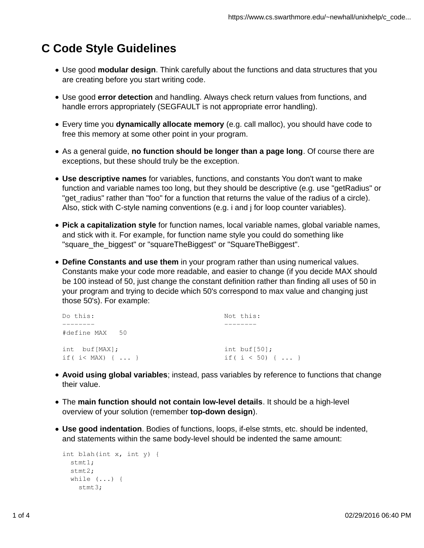## **C Code Style Guidelines**

- Use good **modular design**. Think carefully about the functions and data structures that you are creating before you start writing code.
- Use good **error detection** and handling. Always check return values from functions, and handle errors appropriately (SEGFAULT is not appropriate error handling).
- Every time you **dynamically allocate memory** (e.g. call malloc), you should have code to free this memory at some other point in your program.
- As a general guide, **no function should be longer than a page long**. Of course there are exceptions, but these should truly be the exception.
- **Use descriptive names** for variables, functions, and constants You don't want to make function and variable names too long, but they should be descriptive (e.g. use "getRadius" or "get\_radius" rather than "foo" for a function that returns the value of the radius of a circle). Also, stick with C-style naming conventions (e.g. i and j for loop counter variables).
- **Pick a capitalization style** for function names, local variable names, global variable names, and stick with it. For example, for function name style you could do something like "square the biggest" or "squareTheBiggest" or "SquareTheBiggest".
- **Define Constants and use them** in your program rather than using numerical values. Constants make your code more readable, and easier to change (if you decide MAX should be 100 instead of 50, just change the constant definition rather than finding all uses of 50 in your program and trying to decide which 50's correspond to max value and changing just those 50's). For example:

| Do this:                              | Not this:                                        |
|---------------------------------------|--------------------------------------------------|
|                                       |                                                  |
| #define MAX 50                        |                                                  |
| int buf[MAX];<br>if ( $i <$ MAX) {  } | int buf $[50]$ ;<br>if $(i < 50)$ $\{ \ldots \}$ |

- **Avoid using global variables**; instead, pass variables by reference to functions that change their value.
- The **main function should not contain low-level details**. It should be a high-level overview of your solution (remember **top-down design**).
- **Use good indentation**. Bodies of functions, loops, if-else stmts, etc. should be indented, and statements within the same body-level should be indented the same amount:

```
int blah(int x, int y) { 
  stmt1;
   stmt2; 
   while (...) { 
    stmt3;
```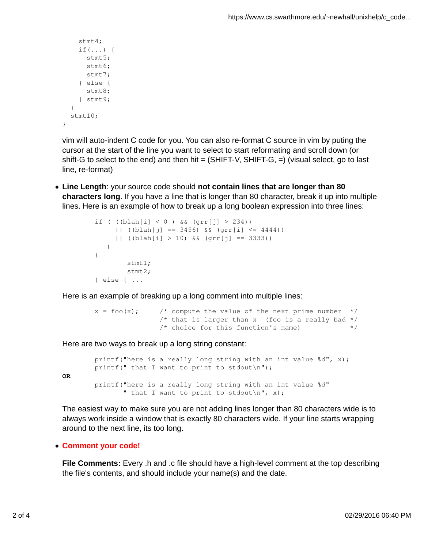```
 stmt4; 
    if(...) {
        stmt5; 
        stmt6; 
       stmt7;
      } else { 
        stmt8; 
      } stmt9; 
   } 
  stmt10;
}
```
vim will auto-indent C code for you. You can also re-format C source in vim by puting the cursor at the start of the line you want to select to start reformating and scroll down (or shift-G to select to the end) and then hit =  $(SHIFT-V, SHIFT-G, =)$  (visual select, go to last line, re-format)

**Line Length**: your source code should **not contain lines that are longer than 80 characters long**. If you have a line that is longer than 80 character, break it up into multiple lines. Here is an example of how to break up a long boolean expression into three lines:

```
if ( (lab[1] < 0) && (grr[j] > 234))
     || | ((blah[j] == 3456) && (qrr[i] <= 4444))
      || ((blah[i] > 10) && (grr[j] == 3333)) 
    ) 
{
        stmt1;
        stmt2; 
} else { ...
```
Here is an example of breaking up a long comment into multiple lines:

```
x = foo(x); /* compute the value of the next prime number */
              /* that is larger than x (foo is a really bad *//* choice for this function's name) *
```
Here are two ways to break up a long string constant:

```
printf("here is a really long string with an int value d'', x);
printf(" that I want to print to stdout\ln");
printf("here is a really long string with an int value %d"
       " that I want to print to stdout \ln", x);
```
The easiest way to make sure you are not adding lines longer than 80 characters wide is to always work inside a window that is exactly 80 characters wide. If your line starts wrapping around to the next line, its too long.

## **Comment your code!**

OR

**File Comments:** Every .h and .c file should have a high-level comment at the top describing the file's contents, and should include your name(s) and the date.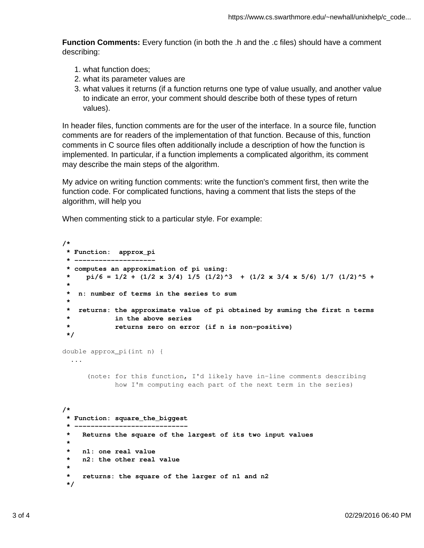**Function Comments:** Every function (in both the .h and the .c files) should have a comment describing:

- 1. what function does;
- 2. what its parameter values are
- 3. what values it returns (if a function returns one type of value usually, and another value to indicate an error, your comment should describe both of these types of return values).

In header files, function comments are for the user of the interface. In a source file, function comments are for readers of the implementation of that function. Because of this, function comments in C source files often additionally include a description of how the function is implemented. In particular, if a function implements a complicated algorithm, its comment may describe the main steps of the algorithm.

My advice on writing function comments: write the function's comment first, then write the function code. For complicated functions, having a comment that lists the steps of the algorithm, will help you

When commenting stick to a particular style. For example:

```
/*
  * Function: approx_pi 
  * --------------------
  * computes an approximation of pi using:
 * pi/6 = 1/2 + (1/2 x 3/4) 1/5 (1/2)^3 + (1/2 x 3/4 x 5/6) 1/7 (1/2)^5 +
  *
  * n: number of terms in the series to sum
 *
  * returns: the approximate value of pi obtained by suming the first n terms
             in the above series
  * returns zero on error (if n is non-positive)
  */
double approx_pi(int n) {
   ...
       (note: for this function, I'd likely have in-line comments describing 
              how I'm computing each part of the next term in the series)
/*
  * Function: square_the_biggest
 * ----------------------------
  * Returns the square of the largest of its two input values
  *
  * n1: one real value 
  * n2: the other real value
 *
  * returns: the square of the larger of n1 and n2 
  */
```